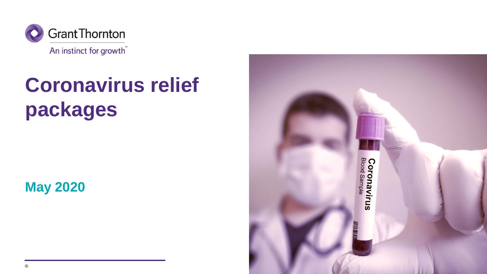

## **Coronavirus relief packages**

### **May 2020**

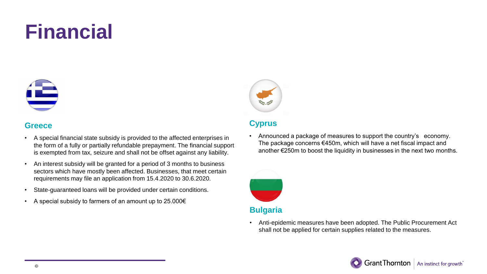

#### **Greece**

- A special financial state subsidy is provided to the affected enterprises in the form of a fully or partially refundable prepayment. The financial support is exempted from tax, seizure and shall not be offset against any liability.
- An interest subsidy will be granted for a period of 3 months to business sectors which have mostly been affected. Businesses, that meet certain requirements may file an application from 15.4.2020 to 30.6.2020.
- State-guaranteed loans will be provided under certain conditions.
- A special subsidy to farmers of an amount up to 25.000€



#### **Cyprus**

• Announced a package of measures to support the country's economy. The package concerns €450m, which will have a net fiscal impact and another €250m to boost the liquidity in businesses in the next two months.



#### **Bulgaria**

• Anti-epidemic measures have been adopted. The Public Procurement Act shall not be applied for certain supplies related to the measures.

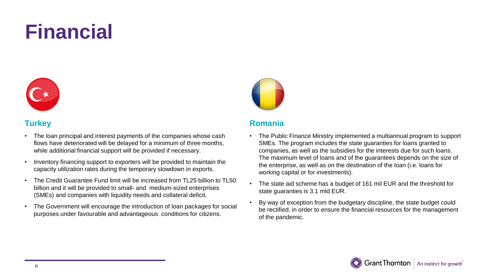

#### **Turkey**

- The loan principal and interest payments of the companies whose cash flows have deteriorated will be delayed for a minimum of three months, while additional financial support will be provided if necessary.
- Inventory financing support to exporters will be provided to maintain the capacity utilization rates during the temporary slowdown in exports.
- The Credit Guarantee Fund limit will be increased from TL25 billion to TL50 billion and it will be provided to small- and medium-sized enterprises (SMEs) and companies with liquidity needs and collateral deficit.
- The Government will encourage the introduction of loan packages for social purposes under favourable and advantageous conditions for citizens.



#### **Romania**

- The Public Finance Ministry implemented a multiannual program to support SMEs. The program includes the state guaranties for loans granted to companies, as well as the subsidies for the interests due for such loans. The maximum level of loans and of the guarantees depends on the size of the enterprise, as well as on the destination of the loan (i.e. loans for working capital or for investments).
- The state aid scheme has a budget of 161 mil EUR and the threshold for state guaranties is 3.1 mld EUR.
- By way of exception from the budgetary discipline, the state budget could be rectified, in order to ensure the financial resources for the management of the pandemic.

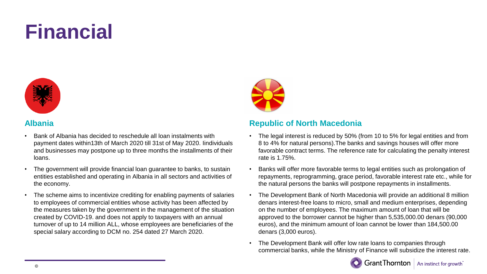

#### **Albania**

- Bank of Albania has decided to reschedule all loan instalments with payment dates within13th of March 2020 till 31st of May 2020. Iindividuals and businesses may postpone up to three months the installments of their loans.
- The government will provide financial loan guarantee to banks, to sustain entities established and operating in Albania in all sectors and activities of the economy.
- The scheme aims to incentivize crediting for enabling payments of salaries to employees of commercial entities whose activity has been affected by the measures taken by the government in the management of the situation created by COVID-19. and does not apply to taxpayers with an annual turnover of up to 14 million ALL, whose employees are beneficiaries of the special salary according to DCM no. 254 dated 27 March 2020.



#### **Republic of North Macedonia**

- The legal interest is reduced by 50% (from 10 to 5% for legal entities and from 8 to 4% for natural persons).The banks and savings houses will offer more favorable contract terms. The reference rate for calculating the penalty interest rate is 1.75%.
- Banks will offer more favorable terms to legal entities such as prolongation of repayments, reprogramming, grace period, favorable interest rate etc., while for the natural persons the banks will postpone repayments in installments.
- The Development Bank of North Macedonia will provide an additional 8 million denars interest-free loans to micro, small and medium enterprises, depending on the number of employees. The maximum amount of loan that will be approved to the borrower cannot be higher than 5,535,000.00 denars (90,000 euros), and the minimum amount of loan cannot be lower than 184,500.00 denars (3,000 euros).
- The Development Bank will offer low rate loans to companies through commercial banks, while the Ministry of Finance will subsidize the interest rate.

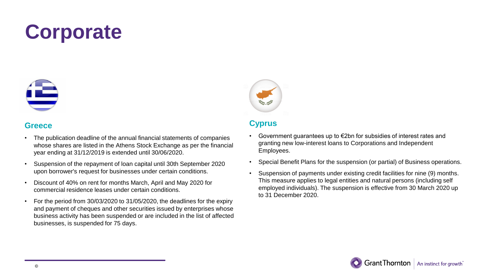

#### **Greece**

- The publication deadline of the annual financial statements of companies whose shares are listed in the Athens Stock Exchange as per the financial year ending at 31/12/2019 is extended until 30/06/2020.
- Suspension of the repayment of loan capital until 30th September 2020 upon borrower's request for businesses under certain conditions.
- Discount of 40% on rent for months March, April and May 2020 for commercial residence leases under certain conditions.
- For the period from 30/03/2020 to 31/05/2020, the deadlines for the expiry and payment of cheques and other securities issued by enterprises whose business activity has been suspended or are included in the list of affected businesses, is suspended for 75 days.



#### **Cyprus**

- Government guarantees up to €2bn for subsidies of interest rates and granting new low-interest loans to Corporations and Independent Employees.
- Special Benefit Plans for the suspension (or partial) of Business operations.
- Suspension of payments under existing credit facilities for nine (9) months. This measure applies to legal entities and natural persons (including self employed individuals). The suspension is effective from 30 March 2020 up to 31 December 2020.

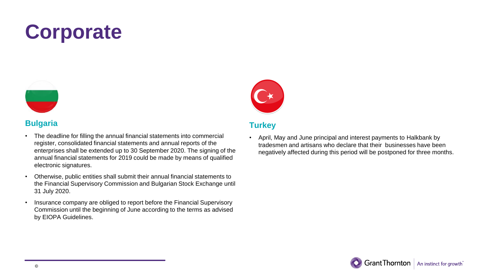

#### **Bulgaria**

- The deadline for filling the annual financial statements into commercial register, consolidated financial statements and annual reports of the enterprises shall be extended up to 30 September 2020. The signing of the annual financial statements for 2019 could be made by means of qualified electronic signatures.
- Otherwise, public entities shall submit their annual financial statements to the Financial Supervisory Commission and Bulgarian Stock Exchange until 31 July 2020.
- Insurance company are obliged to report before the Financial Supervisory Commission until the beginning of June according to the terms as advised by EIOPA Guidelines.



#### **Turkey**

• April, May and June principal and interest payments to Halkbank by tradesmen and artisans who declare that their businesses have been negatively affected during this period will be postponed for three months.

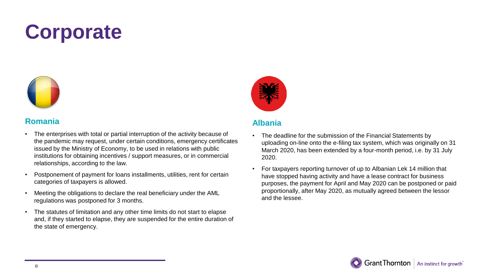

#### **Romania**

- The enterprises with total or partial interruption of the activity because of the pandemic may request, under certain conditions, emergency certificates issued by the Ministry of Economy, to be used in relations with public institutions for obtaining incentives / support measures, or in commercial relationships, according to the law.
- Postponement of payment for loans installments, utilities, rent for certain categories of taxpayers is allowed.
- Meeting the obligations to declare the real beneficiary under the AML regulations was postponed for 3 months.
- The statutes of limitation and any other time limits do not start to elapse and, if they started to elapse, they are suspended for the entire duration of the state of emergency.



#### **Albania**

- The deadline for the submission of the Financial Statements by uploading on-line onto the e-filing tax system, which was originally on 31 March 2020, has been extended by a four-month period, i.e. by 31 July 2020.
- For taxpayers reporting turnover of up to Albanian Lek 14 million that have stopped having activity and have a lease contract for business purposes, the payment for April and May 2020 can be postponed or paid proportionally, after May 2020, as mutually agreed between the lessor and the lessee.

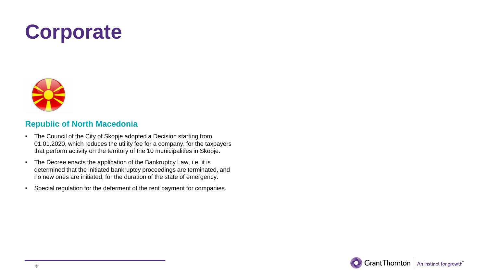

#### **Republic of North Macedonia**

- The Council of the City of Skopje adopted a Decision starting from 01.01.2020, which reduces the utility fee for a company, for the taxpayers that perform activity on the territory of the 10 municipalities in Skopje.
- The Decree enacts the application of the Bankruptcy Law, i.e. it is determined that the initiated bankruptcy proceedings are terminated, and no new ones are initiated, for the duration of the state of emergency.
- Special regulation for the deferment of the rent payment for companies.

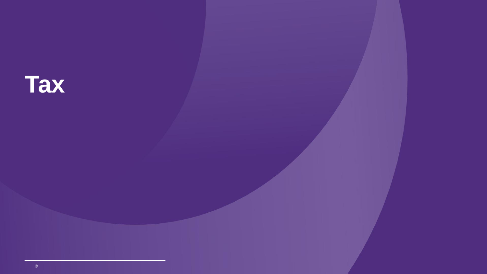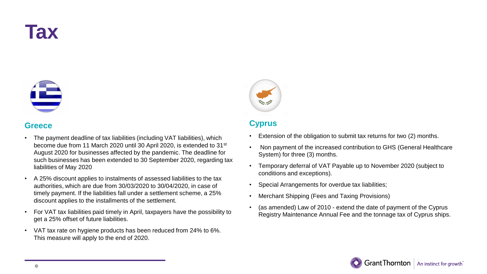



#### **Greece**

- The payment deadline of tax liabilities (including VAT liabilities), which become due from 11 March 2020 until 30 April 2020, is extended to 31<sup>st</sup> August 2020 for businesses affected by the pandemic. The deadline for such businesses has been extended to 30 September 2020, regarding tax liabilities of May 2020
- A 25% discount applies to instalments of assessed liabilities to the tax authorities, which are due from 30/03/2020 to 30/04/2020, in case of timely payment. If the liabilities fall under a settlement scheme, a 25% discount applies to the installments of the settlement.
- For VAT tax liabilities paid timely in April, taxpayers have the possibility to get a 25% offset of future liabilities.
- VAT tax rate on hygiene products has been reduced from 24% to 6%. This measure will apply to the end of 2020.



#### **Cyprus**

- Extension of the obligation to submit tax returns for two (2) months.
- Non payment of the increased contribution to GHS (General Healthcare System) for three (3) months.
- Temporary deferral of VAT Payable up to November 2020 (subject to conditions and exceptions).
- Special Arrangements for overdue tax liabilities;
- Merchant Shipping (Fees and Taxing Provisions)
- (as amended) Law of 2010 extend the date of payment of the Cyprus Registry Maintenance Annual Fee and the tonnage tax of Cyprus ships.

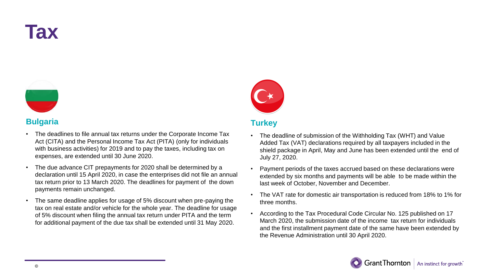



#### **Bulgaria**

- The deadlines to file annual tax returns under the Corporate Income Tax Act (CITA) and the Personal Income Tax Act (PITA) (only for individuals with business activities) for 2019 and to pay the taxes, including tax on expenses, are extended until 30 June 2020.
- The due advance CIT prepayments for 2020 shall be determined by a declaration until 15 April 2020, in case the enterprises did not file an annual tax return prior to 13 March 2020. The deadlines for payment of the down payments remain unchanged.
- The same deadline applies for usage of 5% discount when pre-paying the tax on real estate and/or vehicle for the whole year. The deadline for usage of 5% discount when filing the annual tax return under PITA and the term for additional payment of the due tax shall be extended until 31 May 2020.



#### **Turkey**

- The deadline of submission of the Withholding Tax (WHT) and Value Added Tax (VAT) declarations required by all taxpayers included in the shield package in April, May and June has been extended until the end of July 27, 2020.
- Payment periods of the taxes accrued based on these declarations were extended by six months and payments will be able to be made within the last week of October, November and December.
- The VAT rate for domestic air transportation is reduced from 18% to 1% for three months.
- According to the Tax Procedural Code Circular No. 125 published on 17 March 2020, the submission date of the income tax return for individuals and the first installment payment date of the same have been extended by the Revenue Administration until 30 April 2020.

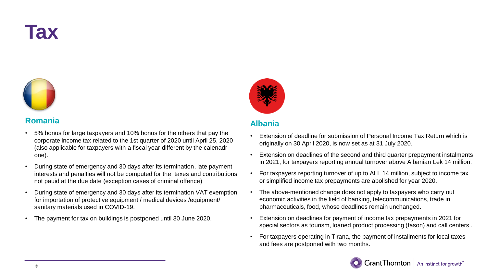### **Tax**



#### **Romania**

- 5% bonus for large taxpayers and 10% bonus for the others that pay the corporate income tax related to the 1st quarter of 2020 until April 25, 2020 (also applicable for taxpayers with a fiscal year different by the calenadr one).
- During state of emergency and 30 days after its termination, late payment interests and penalties will not be computed for the taxes and contributions not pauid at the due date (exception cases of criminal offence)
- During state of emergency and 30 days after its termination VAT exemption for importation of protective equipment / medical devices /equipment/ sanitary materials used in COVID-19.
- The payment for tax on buildings is postponed until 30 June 2020.



#### **Albania**

- Extension of deadline for submission of Personal Income Tax Return which is originally on 30 April 2020, is now set as at 31 July 2020.
- Extension on deadlines of the second and third quarter prepayment instalments in 2021, for taxpayers reporting annual turnover above Albanian Lek 14 million.
- For taxpayers reporting turnover of up to ALL 14 million, subject to income tax or simplified income tax prepayments are abolished for year 2020.
- The above-mentioned change does not apply to taxpayers who carry out economic activities in the field of banking, telecommunications, trade in pharmaceuticals, food, whose deadlines remain unchanged.
- Extension on deadlines for payment of income tax prepayments in 2021 for special sectors as tourism, loaned product processing (fason) and call centers .
- For taxpayers operating in Tirana, the payment of installments for local taxes and fees are postponed with two months.

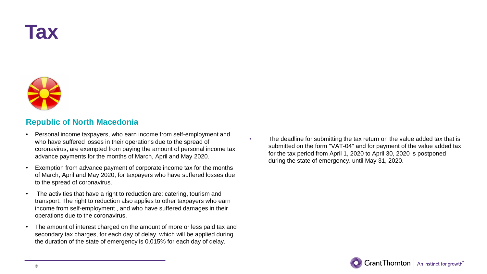### **Tax**



#### **Republic of North Macedonia**

- Personal income taxpayers, who earn income from self-employment and who have suffered losses in their operations due to the spread of coronavirus, are exempted from paying the amount of personal income tax advance payments for the months of March, April and May 2020.
- Exemption from advance payment of corporate income tax for the months of March, April and May 2020, for taxpayers who have suffered losses due to the spread of coronavirus.
- The activities that have a right to reduction are: catering, tourism and transport. The right to reduction also applies to other taxpayers who earn income from self-employment , and who have suffered damages in their operations due to the coronavirus.
- The amount of interest charged on the amount of more or less paid tax and secondary tax charges, for each day of delay, which will be applied during the duration of the state of emergency is 0.015% for each day of delay.

The deadline for submitting the tax return on the value added tax that is submitted on the form "VAT-04" and for payment of the value added tax for the tax period from April 1, 2020 to April 30, 2020 is postponed during the state of emergency. until May 31, 2020.

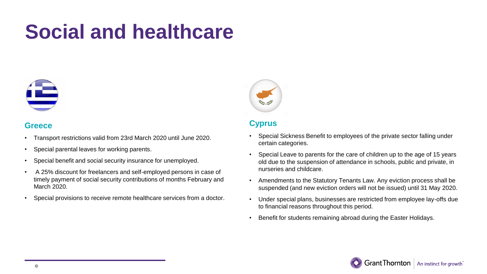

#### **Greece**

- Transport restrictions valid from 23rd March 2020 until June 2020.
- Special parental leaves for working parents.
- Special benefit and social security insurance for unemployed.
- A 25% discount for freelancers and self-employed persons in case of timely payment of social security contributions of months February and March 2020.
- Special provisions to receive remote healthcare services from a doctor.



#### **Cyprus**

- Special Sickness Benefit to employees of the private sector falling under certain categories.
- Special Leave to parents for the care of children up to the age of 15 years old due to the suspension of attendance in schools, public and private, in nurseries and childcare.
- Amendments to the Statutory Tenants Law. Any eviction process shall be suspended (and new eviction orders will not be issued) until 31 May 2020.
- Under special plans, businesses are restricted from employee lay-offs due to financial reasons throughout this period.
- Benefit for students remaining abroad during the Easter Holidays.

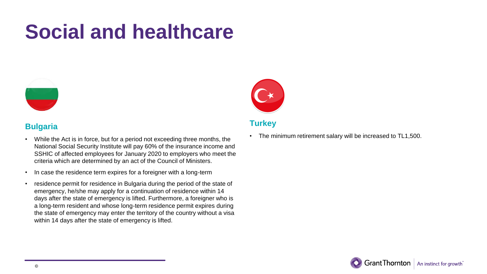

#### **Bulgaria**

- While the Act is in force, but for a period not exceeding three months, the National Social Security Institute will pay 60% of the insurance income and SSHIC of affected employees for January 2020 to employers who meet the criteria which are determined by an act of the Council of Ministers.
- In case the residence term expires for a foreigner with a long-term
- residence permit for residence in Bulgaria during the period of the state of emergency, he/she may apply for a continuation of residence within 14 days after the state of emergency is lifted. Furthermore, a foreigner who is a long-term resident and whose long-term residence permit expires during the state of emergency may enter the territory of the country without a visa within 14 days after the state of emergency is lifted.



#### **Turkey**

• The minimum retirement salary will be increased to TL1,500.

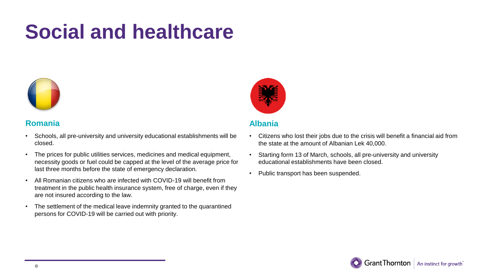

#### **Romania**

- Schools, all pre-university and university educational establishments will be closed.
- The prices for public utilities services, medicines and medical equipment, necessity goods or fuel could be capped at the level of the average price for last three months before the state of emergency declaration.
- All Romanian citizens who are infected with COVID-19 will benefit from treatment in the public health insurance system, free of charge, even if they are not insured according to the law.
- The settlement of the medical leave indemnity granted to the quarantined persons for COVID-19 will be carried out with priority.



#### **Albania**

- Citizens who lost their jobs due to the crisis will benefit a financial aid from the state at the amount of Albanian Lek 40,000.
- Starting form 13 of March, schools, all pre-university and university educational establishments have been closed.
- Public transport has been suspended.

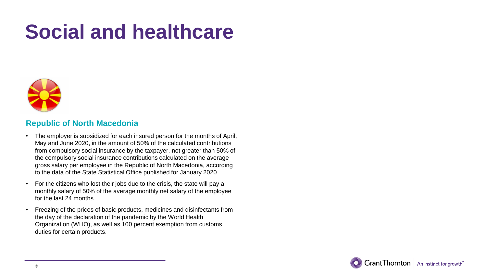

#### **Republic of North Macedonia**

- The employer is subsidized for each insured person for the months of April, May and June 2020, in the amount of 50% of the calculated contributions from compulsory social insurance by the taxpayer, not greater than 50% of the compulsory social insurance contributions calculated on the average gross salary per employee in the Republic of North Macedonia, according to the data of the State Statistical Office published for January 2020.
- For the citizens who lost their jobs due to the crisis, the state will pay a monthly salary of 50% of the average monthly net salary of the employee for the last 24 months.
- Freezing of the prices of basic products, medicines and disinfectants from the day of the declaration of the pandemic by the World Health Organization (WHO), as well as 100 percent exemption from customs duties for certain products.

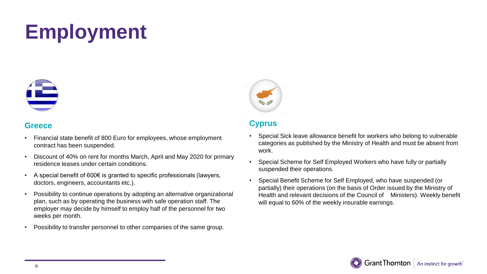

#### **Greece**

- Financial state benefit of 800 Euro for employees, whose employment contract has been suspended.
- Discount of 40% on rent for months March, April and May 2020 for primary residence leases under certain conditions.
- A special benefit of 600€ is granted to specific professionals (lawyers, doctors, engineers, accountants etc.).
- Possibility to continue operations by adopting an alternative organizational plan, such as by operating the business with safe operation staff. The employer may decide by himself to employ half of the personnel for two weeks per month.
- Possibility to transfer personnel to other companies of the same group.



#### **Cyprus**

- Special Sick leave allowance benefit for workers who belong to vulnerable categories as published by the Ministry of Health and must be absent from work.
- Special Scheme for Self Employed Workers who have fully or partially suspended their operations.
- Special Benefit Scheme for Self Employed, who have suspended (or partially) their operations (on the basis of Order issued by the Ministry of Health and relevant decisions of the Council of Ministers). Weekly benefit will equal to 60% of the weekly insurable earnings.

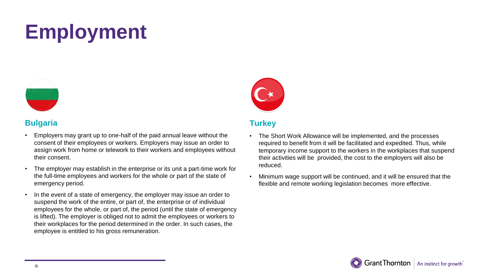

#### **Bulgaria**

- Employers may grant up to one-half of the paid annual leave without the consent of their employees or workers. Employers may issue an order to assign work from home or telework to their workers and employees without their consent.
- The employer may establish in the enterprise or its unit a part-time work for the full-time employees and workers for the whole or part of the state of emergency period.
- In the event of a state of emergency, the employer may issue an order to suspend the work of the entire, or part of, the enterprise or of individual employees for the whole, or part of, the period (until the state of emergency is lifted). The employer is obliged not to admit the employees or workers to their workplaces for the period determined in the order. In such cases, the employee is entitled to his gross remuneration.



#### **Turkey**

- The Short Work Allowance will be implemented, and the processes required to benefit from it will be facilitated and expedited. Thus, while temporary income support to the workers in the workplaces that suspend their activities will be provided, the cost to the employers will also be reduced.
- Minimum wage support will be continued, and it will be ensured that the flexible and remote working legislation becomes more effective.

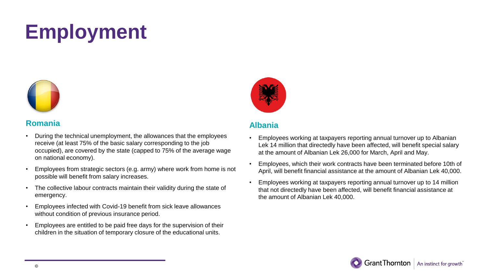

#### **Romania**

- During the technical unemployment, the allowances that the employees receive (at least 75% of the basic salary corresponding to the job occupied), are covered by the state (capped to 75% of the average wage on national economy).
- Employees from strategic sectors (e.g. army) where work from home is not possible will benefit from salary increases.
- The collective labour contracts maintain their validity during the state of emergency.
- Employees infected with Covid-19 benefit from sick leave allowances without condition of previous insurance period.
- Employees are entitled to be paid free days for the supervision of their children in the situation of temporary closure of the educational units.



#### **Albania**

- Employees working at taxpayers reporting annual turnover up to Albanian Lek 14 million that directedly have been affected, will benefit special salary at the amount of Albanian Lek 26,000 for March, April and May.
- Employees, which their work contracts have been terminated before 10th of April, will benefit financial assistance at the amount of Albanian Lek 40,000.
- Employees working at taxpayers reporting annual turnover up to 14 million that not directedly have been affected, will benefit financial assistance at the amount of Albanian Lek 40,000.

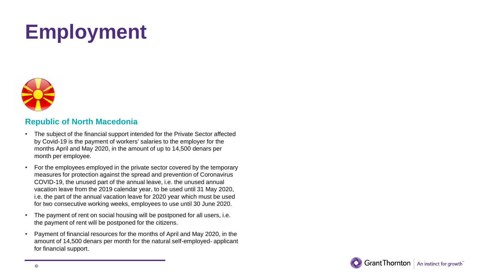

#### **Republic of North Macedonia**

- The subject of the financial support intended for the Private Sector affected by Covid-19 is the payment of workers' salaries to the employer for the months April and May 2020, in the amount of up to 14,500 denars per month per employee.
- For the employees employed in the private sector covered by the temporary measures for protection against the spread and prevention of Coronavirus COVID-19, the unused part of the annual leave, i.e. the unused annual vacation leave from the 2019 calendar year, to be used until 31 May 2020, i.e. the part of the annual vacation leave for 2020 year which must be used for two consecutive working weeks, employees to use until 30 June 2020.
- The payment of rent on social housing will be postponed for all users, i.e. the payment of rent will be postponed for the citizens.
- Payment of financial resources for the months of April and May 2020, in the amount of 14,500 denars per month for the natural self-employed- applicant for financial support.